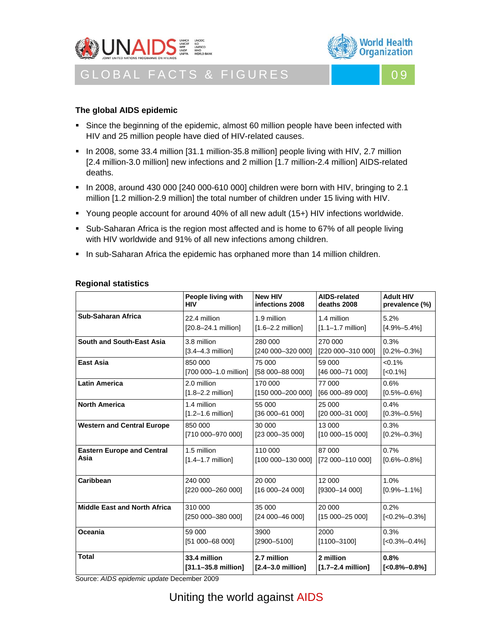



GLOBAL FACTS & FIGURES NO 19



# **The global AIDS epidemic**

- **Since the beginning of the epidemic, almost 60 million people have been infected with** HIV and 25 million people have died of HIV-related causes.
- In 2008, some 33.4 million [31.1 million-35.8 million] people living with HIV, 2.7 million [2.4 million-3.0 million] new infections and 2 million [1.7 million-2.4 million] AIDS-related deaths.
- In 2008, around 430 000 [240 000-610 000] children were born with HIV, bringing to 2.1 million [1.2 million-2.9 million] the total number of children under 15 living with HIV.
- Young people account for around 40% of all new adult (15+) HIV infections worldwide.
- **Sub-Saharan Africa is the region most affected and is home to 67% of all people living** with HIV worldwide and 91% of all new infections among children.
- In sub-Saharan Africa the epidemic has orphaned more than 14 million children.

|                                     | People living with            | <b>New HIV</b>                | <b>AIDS-related</b>           | <b>Adult HIV</b>                                 |
|-------------------------------------|-------------------------------|-------------------------------|-------------------------------|--------------------------------------------------|
|                                     | <b>HIV</b>                    | infections 2008               | deaths 2008                   | prevalence (%)                                   |
| Sub-Saharan Africa                  | 22.4 million                  | 1.9 million                   | 1.4 million                   | 5.2%                                             |
|                                     | [20.8-24.1 million]           | $[1.6 - 2.2 \text{ million}]$ | $[1.1 - 1.7 \text{ million}]$ | $[4.9\% - 5.4\%]$                                |
| South and South-East Asia           | 3.8 million                   | 280 000                       | 270 000                       |                                                  |
|                                     | $[3.4-4.3$ million]           | [240 000-320 000]             | [220 000-310 000]             |                                                  |
| East Asia                           | 850 000                       | 75 000                        | 59 000                        | $< 0.1\%$                                        |
|                                     | [700 000-1.0 million]         | [58 000-88 000]               | [46 000-71 000]               | $[<0.1\%]$                                       |
| <b>Latin America</b>                | 2.0 million                   | 170 000                       | 77 000                        | 0.6%                                             |
|                                     | $[1.8 - 2.2 \text{ million}]$ | [150 000-200 000]             | [66 000-89 000]               | $[0.5\% - 0.6\%]$                                |
| <b>North America</b>                | 1.4 million                   | 55 000                        | 25 000                        | 0.4%                                             |
|                                     | $[1.2 - 1.6 \text{ million}]$ | $[36 000 - 61 000]$           | [20 000-31 000]               | $[0.3\% - 0.5\%]$                                |
| <b>Western and Central Europe</b>   | 850 000                       | 30 000                        | 13 000                        | 0.3%                                             |
|                                     | [710 000-970 000]             | [23 000-35 000]               | [10 000-15 000]               | $[0.2\% - 0.3\%]$                                |
| <b>Eastern Europe and Central</b>   | 1.5 million                   | 110 000                       | 87 000                        | 0.7%                                             |
| Asia                                | $[1.4 - 1.7$ million]         | [100 000-130 000]             | [72 000-110 000]              | $[0.6\text{\textdegree}-0.8\text{\textdegree}].$ |
| Caribbean                           | 240 000                       | 20 000                        | 12 000                        | 1.0%                                             |
|                                     | [220 000-260 000]             | [16 000-24 000]               | [9300-14 000]                 | $[0.9\% - 1.1\%]$                                |
| <b>Middle East and North Africa</b> | 310 000                       | 35 000                        | 20 000                        | 0.2%                                             |
|                                     | [250 000-380 000]             | [24 000-46 000]               | [15 000-25 000]               | $[-0.2\% - 0.3\%]$                               |
| Oceania                             | 59 000                        | 3900                          | 2000                          | 0.3%                                             |
|                                     | [51 000-68 000]               | [2900-5100]                   | $[1100 - 3100]$               | $[-0.3\text{\textdegree}-0.4\text{\textdegree}$  |
| <b>Total</b>                        | 33.4 million                  | 2.7 million                   | 2 million                     | 0.8%                                             |
|                                     | [31.1-35.8 million]           | [2.4-3.0 million]             | $[1.7-2.4$ million]           | $[<0.8\% - 0.8\%]$                               |

# **Regional statistics**

Source: *AIDS epidemic update* December 2009